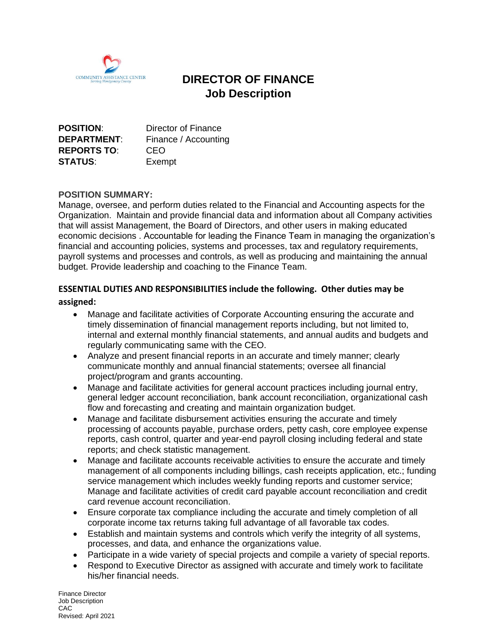

# **DIRECTOR OF FINANCE Job Description**

| <b>POSITION:</b>   | Director of Finance  |
|--------------------|----------------------|
| <b>DEPARTMENT:</b> | Finance / Accounting |
| <b>REPORTS TO:</b> | CEO                  |
| <b>STATUS:</b>     | Exempt               |

#### **POSITION SUMMARY:**

Manage, oversee, and perform duties related to the Financial and Accounting aspects for the Organization. Maintain and provide financial data and information about all Company activities that will assist Management, the Board of Directors, and other users in making educated economic decisions . Accountable for leading the Finance Team in managing the organization's financial and accounting policies, systems and processes, tax and regulatory requirements, payroll systems and processes and controls, as well as producing and maintaining the annual budget. Provide leadership and coaching to the Finance Team.

#### **ESSENTIAL DUTIES AND RESPONSIBILITIES include the following. Other duties may be**

#### **assigned:**

- Manage and facilitate activities of Corporate Accounting ensuring the accurate and timely dissemination of financial management reports including, but not limited to, internal and external monthly financial statements, and annual audits and budgets and regularly communicating same with the CEO.
- Analyze and present financial reports in an accurate and timely manner; clearly communicate monthly and annual financial statements; oversee all financial project/program and grants accounting.
- Manage and facilitate activities for general account practices including journal entry, general ledger account reconciliation, bank account reconciliation, organizational cash flow and forecasting and creating and maintain organization budget.
- Manage and facilitate disbursement activities ensuring the accurate and timely processing of accounts payable, purchase orders, petty cash, core employee expense reports, cash control, quarter and year-end payroll closing including federal and state reports; and check statistic management.
- Manage and facilitate accounts receivable activities to ensure the accurate and timely management of all components including billings, cash receipts application, etc.; funding service management which includes weekly funding reports and customer service; Manage and facilitate activities of credit card payable account reconciliation and credit card revenue account reconciliation.
- Ensure corporate tax compliance including the accurate and timely completion of all corporate income tax returns taking full advantage of all favorable tax codes.
- Establish and maintain systems and controls which verify the integrity of all systems, processes, and data, and enhance the organizations value.
- Participate in a wide variety of special projects and compile a variety of special reports.
- Respond to Executive Director as assigned with accurate and timely work to facilitate his/her financial needs.

Finance Director Job Description CAC Revised: April 2021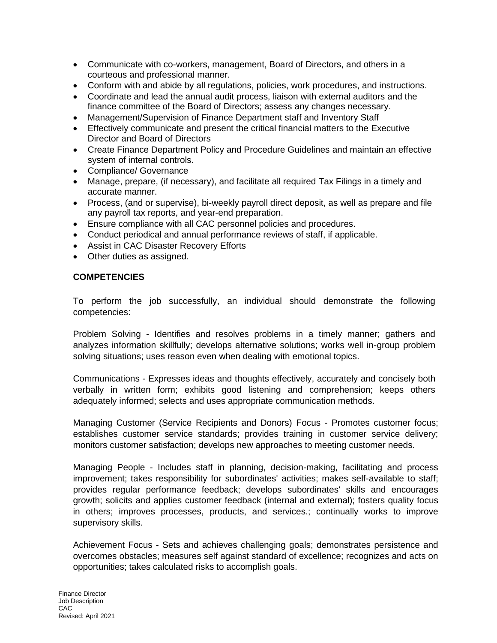- Communicate with co-workers, management, Board of Directors, and others in a courteous and professional manner.
- Conform with and abide by all regulations, policies, work procedures, and instructions.
- Coordinate and lead the annual audit process, liaison with external auditors and the finance committee of the Board of Directors; assess any changes necessary.
- Management/Supervision of Finance Department staff and Inventory Staff
- Effectively communicate and present the critical financial matters to the Executive Director and Board of Directors
- Create Finance Department Policy and Procedure Guidelines and maintain an effective system of internal controls.
- Compliance/ Governance
- Manage, prepare, (if necessary), and facilitate all required Tax Filings in a timely and accurate manner.
- Process, (and or supervise), bi-weekly payroll direct deposit, as well as prepare and file any payroll tax reports, and year-end preparation.
- Ensure compliance with all CAC personnel policies and procedures.
- Conduct periodical and annual performance reviews of staff, if applicable.
- Assist in CAC Disaster Recovery Efforts
- Other duties as assigned.

#### **COMPETENCIES**

To perform the job successfully, an individual should demonstrate the following competencies:

Problem Solving - Identifies and resolves problems in a timely manner; gathers and analyzes information skillfully; develops alternative solutions; works well in-group problem solving situations; uses reason even when dealing with emotional topics.

Communications - Expresses ideas and thoughts effectively, accurately and concisely both verbally in written form; exhibits good listening and comprehension; keeps others adequately informed; selects and uses appropriate communication methods.

Managing Customer (Service Recipients and Donors) Focus - Promotes customer focus; establishes customer service standards; provides training in customer service delivery; monitors customer satisfaction; develops new approaches to meeting customer needs.

Managing People - Includes staff in planning, decision-making, facilitating and process improvement; takes responsibility for subordinates' activities; makes self-available to staff; provides regular performance feedback; develops subordinates' skills and encourages growth; solicits and applies customer feedback (internal and external); fosters quality focus in others; improves processes, products, and services.; continually works to improve supervisory skills.

Achievement Focus - Sets and achieves challenging goals; demonstrates persistence and overcomes obstacles; measures self against standard of excellence; recognizes and acts on opportunities; takes calculated risks to accomplish goals.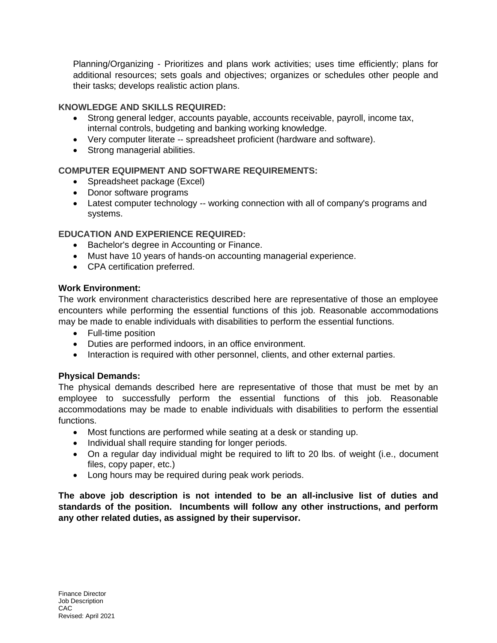Planning/Organizing - Prioritizes and plans work activities; uses time efficiently; plans for additional resources; sets goals and objectives; organizes or schedules other people and their tasks; develops realistic action plans.

### **KNOWLEDGE AND SKILLS REQUIRED:**

- Strong general ledger, accounts payable, accounts receivable, payroll, income tax, internal controls, budgeting and banking working knowledge.
- Very computer literate -- spreadsheet proficient (hardware and software).
- Strong managerial abilities.

# **COMPUTER EQUIPMENT AND SOFTWARE REQUIREMENTS:**

- Spreadsheet package (Excel)
- Donor software programs
- Latest computer technology -- working connection with all of company's programs and systems.

# **EDUCATION AND EXPERIENCE REQUIRED:**

- Bachelor's degree in Accounting or Finance.
- Must have 10 years of hands-on accounting managerial experience.
- CPA certification preferred.

# **Work Environment:**

The work environment characteristics described here are representative of those an employee encounters while performing the essential functions of this job. Reasonable accommodations may be made to enable individuals with disabilities to perform the essential functions.

- Full-time position
- Duties are performed indoors, in an office environment.
- Interaction is required with other personnel, clients, and other external parties.

#### **Physical Demands:**

The physical demands described here are representative of those that must be met by an employee to successfully perform the essential functions of this job. Reasonable accommodations may be made to enable individuals with disabilities to perform the essential functions.

- Most functions are performed while seating at a desk or standing up.
- Individual shall require standing for longer periods.
- On a regular day individual might be required to lift to 20 lbs. of weight (i.e., document files, copy paper, etc.)
- Long hours may be required during peak work periods.

**The above job description is not intended to be an all-inclusive list of duties and standards of the position. Incumbents will follow any other instructions, and perform any other related duties, as assigned by their supervisor.**